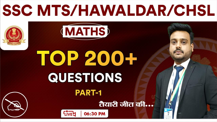## **SSC MTS/HAWALDAR/CHSL**



## **RADIO ANTICO** अनुपात एवंसमानुपात-I

**MATHS** 

**PART-1** 

06:30 PM

तैयारी जीत की...

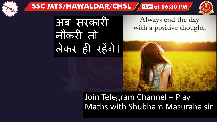

Always end the day with a positive thought.

**Live at 06:30 PM** 

अब सरकारी नौकरी तो लेकर ही रहेंगे।

SSC MTS/HAWALDAR/CHSL

## Join Telegram Channel – Play Maths with Shubham Masuraha sir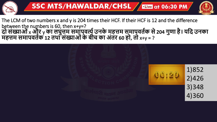

## The LCM of two numbers x and y is 204 times their HCF. If their HCF is 12 and the difference between the numbers is 60, then x+y=? **दो संख्याओं**x **और** y **का लघुत्तम समापवर्त्यउनके महत्तम समापवर्यक से204 गुणा है। यदद उनका महत्तम समापवर्यक 12 र्था संख्याओंकेबीच का अंर्र 60 हो, र्ो** x+y = ?

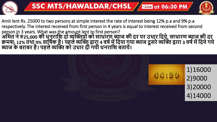

Amit lent Rs. 25000 to two persons at simple interest the rate of interest being 12% p.a and 9% p.a respectively. The interest received from first person in 4 years is equal to interest received from second person in 3 years. What was the amount lent to first person? अमित ने रु25,000 की धूनुराष्ट्रि दो व्यक्तियों को साधारण ब्याज की दर पर उधार दिये, साधारण ब्याज़ की दर् **क्रमि: 12% र्था 9% वादषयक है। पहलेव्यक्ति द्वारा 4 वषयमेंददया गया ब्याज दूसरेव्यक्ति द्वारा 3 वषयमेंददयेगये ब्याज केबराबर है। पहलेव्यक्ति को उधार दी गयी धनरादि बर्ायें।**

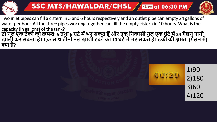



Two inlet pipes can fill a cistern in 5 and 6 hours respectively and an outlet pipe can empty 24 gallons of water per hour. All the three pipes working together can fill the empty cistern in 10 hours. What is the capacity (in gallons) of the tank? **दो नल एक टंकी को क्रमिः 5 र्था 6 घंटेमेंभर सकर्ेहैंऔर एक दनकासी नल एक घंटेमें24 गैलन पानी** खाली कर सकता है। एक साथ तीनों नल खाली टंकी को 10 घंटे में भर सकते हैं। टंकी की क्षमता (गैलन में) **क्या है?**

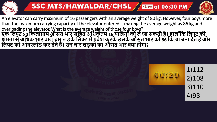



An elevator can carry maximum of 16 passengers with an average weight of 80 kg. However, four boys more than the maximum carrying capacity of the elevator entered it making the average weight as 86 kg and overloading the elevator. What is the average weight of those four boys? **एक दलफ्ट 80 दकलोग्राम औसर् भार सदहर् अदधकर्म 16 यादियो ंको लेजा सकर्ी है। हालााँदक दलफ्ट की क्षमर्ा सेअदधक भार वालेचार लड़के दलफ्ट मेंप्रवेि करकेउसकेऔसर् भार को 86 दक.ग्रा बना देर्ेहैंऔर दलफ्ट को ओवरलोड कर देर्ेहैं। उन चार लड़को ंका औसर् भार क्या होगा?**

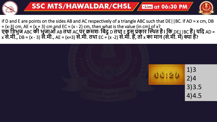

if D and E are points on the sides AB and AC respectively of a triangle ABC such that DE||BC. If AD = x cm, DB = (x-3) cm, AE = (x + 3) cm and EC = (x - 2) cm, then what is the value (in cm) of x? **एक दिभुज** ABC **की भुजाओं**AB **र्था** AC **पर क्रमिः दबंदु**D **र्था** E **इस प्रकार क्तथथर् है। दक** DE||BC **हैं। यदद** AD = x से.मी., DB = (x - 3) से.मी., AE = (x+3) से.मी. तथा EC = (x -2) से.मी. हैं, तो x का मान (से.मी. में) क्या हैं?

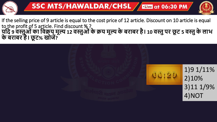

If the selling price of 9 article is equal to the cost price of 12 article. Discount on 10 article is equal to the profit of 5 article. Find discount % ? **यदद 9 वस्तुओंका दवक्रय मूल्य 12 वस्तुओंकेक्रय मूल्य केबराबर है। 10 वस्तुपर छू ट 5 वस्तुकेलाभ केबराबर है। छू ट% खोजें?**

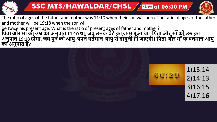



The ratio of ages of the father and mother was 11:10 when their son was born. The ratio of ages of the father and mother will be 19:18 when the son will be twice his present age. What is the ratio of present ages of father and mother? पिता और माँ की उम्र का अनुपात 11:10 था, जब उनके बेटे का जन्मू हुआ था। पिता और माँ की उम्र का **अनुपार् 19:18 होगा, जब पुि की आयुअपनेवर्यमान आयुसेदोगुनी हो जाएगी। दपर्ा और मााँकेवर्यमान आयु का अनुपार् है?**

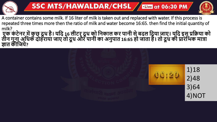



A container contains some milk. If 16 liter of milk is taken out and replaced with water. If this process is repeated three times more then the ratio of milk and water become 16:65. then find the initial quantity of milk?

एक कंटेनर में कुछ् दूध है। यदि 16 लीटर् दूध को निकाल कर पानी से बदल दिया जाए। यूदि इस प्रक्रिया को तीन गुना अधिक दोहराया जाए तो दूध और पानी का अनुपात 16:65 हो जाता है। तो दूध की प्रारंभिक मात्रा **ज्ञार् कीदजये?**

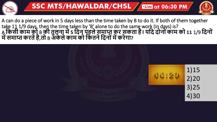

A can do a piece of work in 5 days less than the time taken by B to do it. If both of them together take 11 1/9 days, then the time taken by 'B' alone to do the same work (in days) is? A **दकसी काम को** B **की र्ुलना में5 ददन पहलेसमाप्त कर सकर्ा है। यदद दोनो ंकाम को 11** 1/9 **ददनो ं मेंसमाप्त करर्ेंहै,र्ो** B **अके लेकाम को दकर्नेददनो ंमेंकरेगा?**

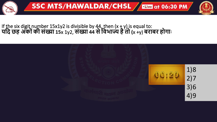

If the six digit number 15x1y2 is divisible by 44, then  $(x + y)$  is equal to:<br>यदि छह अंकों की संख्या 15x 1y2, संख्या 44 से विभाज्य है तो (x +y) बराबर होगा:

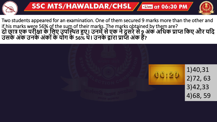

Two students appeared for an examination. One of them secured 9 marks more than the other and if his marks were 56% of the sum of their marks. The marks obtained by them are? **दो छाि एक परीक्षा के दलए उपक्तथथर् हुए। उनमेंसेएक नेदूसरेसे9 अंक अदधक प्राप्त दकए और यदद उसकेअंक उनके अंको ंकेयोग के 56% थे। उनकेद्वारा प्राप्त अंक हैं?**

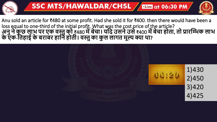

Anu sold an article for ₹480 at some profit. Had she sold it for ₹400. then there would have been a loss equal to one-third of the initial profit. What was the cost price of the article? **अनुनेकु छ लाभ पर एक वस्तुको** ₹480 **मेंबेचा। यदद उसनेउसे**₹400 **मेंबेचा होर्ा, र्ो प्रारक्तिक लाभ केएक-दर्हाई केबराबर हादन होर्ी। वस्तुका कु ल लागर् मूल्य क्या था?**

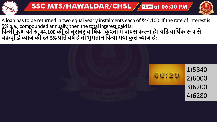

A loan has to be returned in two equal yearly instalments each of ₹44,100. If the rate of interest is 5% p.a., compounded annually, then the total interest paid is: **दकसी ऋण को रु. 44,100 की दो बराबर वादषयक दकश्ो ंमेंवापस करना है। यदद वादषयक रूप से चक्रवृक्ति ब्याज की दर 5% प्रदर् वषयहैर्ो भुगर्ान दकया गया कु ल ब्याज है:**

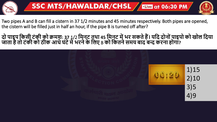

Two pipes A and B can fill a cistern in 37 1/2 minutes and 45 minutes respectively. Both pipes are opened, the cistern will be filled just in half an hour, if the pipe B is turned off after?

**दो पाइप दकसी टंकी को क्रमि: 37** 1/2 **दमनट र्था 45 दमनट मेंभर सकर्ेहैं। यदद दोनो ंपाइपो को खोल ददया जार्ा हैर्ो टंकी को ठीक आधेघंटेमेभरनेके दलए** B **को दकर्नेसमय बाद बन्द करना होगा?**

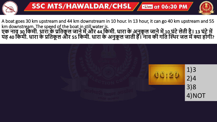

A boat goes 30 km upstream and 44 km downstream in 10 hour. In 13 hour, it can go 40 km upstream and 55 km downstream. The speed of the boat in still water is. एक नावू 30 किमी. धारा के प्रतिकुल जाने में और 44 किमी. धारा के अनुकूल जाने में 10 घंटे लेती है। 13 घंटे में यह 40 किमी. धारा के प्रतिकूल और 55 किमी. धारा के अनुकूल जाती हैं। नाव की गति स्थिर जल में क्या होगी?

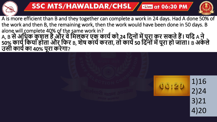



A is more efficient than B and they together can complete a work in 24 days. Had A done 50% of the work and then B, the remaining work, then the work would have been done in 50 days. B alone will complete 40% of the same work in? A, B **सेअदधक कु िल हैऔर वेदमलकर एक काययको 24 ददनो ंमेंपूरा कर सकर्ेहैं। यदद** A **ने 50% काययदकया होर्ा और दिर** B, **िेष काययकरर्ा, र्ो कायय50 ददनो ंमेंपूरा हो जार्ा।** B **अके ले उसी काययका 40% पूरा करेगा**?

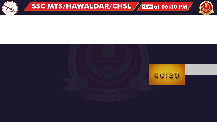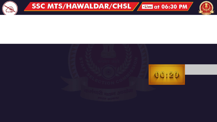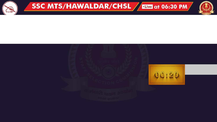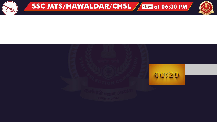